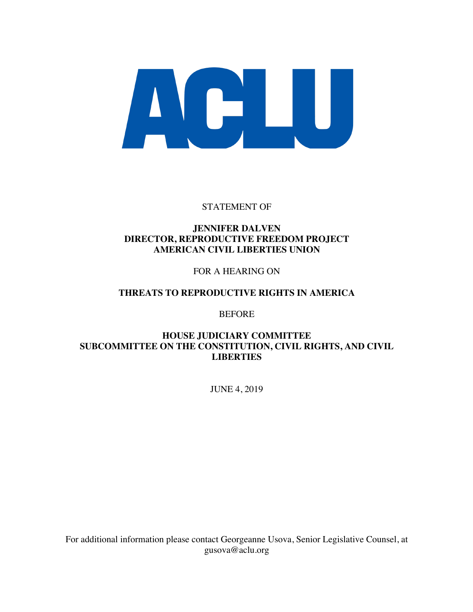

STATEMENT OF

## **JENNIFER DALVEN DIRECTOR, REPRODUCTIVE FREEDOM PROJECT AMERICAN CIVIL LIBERTIES UNION**

FOR A HEARING ON

## **THREATS TO REPRODUCTIVE RIGHTS IN AMERICA**

BEFORE

## **HOUSE JUDICIARY COMMITTEE SUBCOMMITTEE ON THE CONSTITUTION, CIVIL RIGHTS, AND CIVIL LIBERTIES**

JUNE 4, 2019

For additional information please contact Georgeanne Usova, Senior Legislative Counsel, at gusova@aclu.org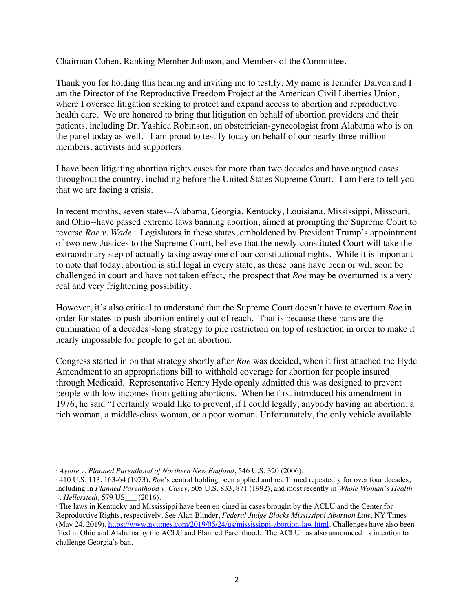Chairman Cohen, Ranking Member Johnson, and Members of the Committee,

Thank you for holding this hearing and inviting me to testify. My name is Jennifer Dalven and I am the Director of the Reproductive Freedom Project at the American Civil Liberties Union, where I oversee litigation seeking to protect and expand access to abortion and reproductive health care. We are honored to bring that litigation on behalf of abortion providers and their patients, including Dr. Yashica Robinson, an obstetrician-gynecologist from Alabama who is on the panel today as well. I am proud to testify today on behalf of our nearly three million members, activists and supporters.

I have been litigating abortion rights cases for more than two decades and have argued cases throughout the country, including before the United States Supreme Court.<sup>1</sup> I am here to tell you that we are facing a crisis.

In recent months, seven states--Alabama, Georgia, Kentucky, Louisiana, Mississippi, Missouri, and Ohio--have passed extreme laws banning abortion, aimed at prompting the Supreme Court to reverse *Roe v*. *Wade*. *Legislators in these states, emboldened by President Trump's appointment* of two new Justices to the Supreme Court, believe that the newly-constituted Court will take the extraordinary step of actually taking away one of our constitutional rights. While it is important to note that today, abortion is still legal in every state, as these bans have been or will soon be challenged in court and have not taken effect,<sup>3</sup> the prospect that *Roe* may be overturned is a very real and very frightening possibility.

However, it's also critical to understand that the Supreme Court doesn't have to overturn *Roe* in order for states to push abortion entirely out of reach. That is because these bans are the culmination of a decades'-long strategy to pile restriction on top of restriction in order to make it nearly impossible for people to get an abortion.

Congress started in on that strategy shortly after *Roe* was decided, when it first attached the Hyde Amendment to an appropriations bill to withhold coverage for abortion for people insured through Medicaid. Representative Henry Hyde openly admitted this was designed to prevent people with low incomes from getting abortions. When he first introduced his amendment in 1976, he said "I certainly would like to prevent, if I could legally, anybody having an abortion, a rich woman, a middle-class woman, or a poor woman. Unfortunately, the only vehicle available

 $\overline{a}$ <sup>1</sup> *Ayotte v. Planned Parenthood of Northern New England*, 546 U.S. 320 (2006).

<sup>2</sup> 410 U.S. 113, 163-64 (1973). *Roe*'s central holding been applied and reaffirmed repeatedly for over four decades, including in *Planned Parenthood v. Casey*, 505 U.S. 833, 871 (1992), and most recently in *Whole Woman's Health v. Hellerstedt,* 579 US\_\_\_ (2016).

<sup>3</sup> The laws in Kentucky and Mississippi have been enjoined in cases brought by the ACLU and the Center for Reproductive Rights, respectively. See Alan Blinder, *Federal Judge Blocks Mississippi Abortion Law*, NY Times (May 24, 2019), https://www.nytimes.com/2019/05/24/us/mississippi-abortion-law.html. Challenges have also been filed in Ohio and Alabama by the ACLU and Planned Parenthood. The ACLU has also announced its intention to challenge Georgia's ban.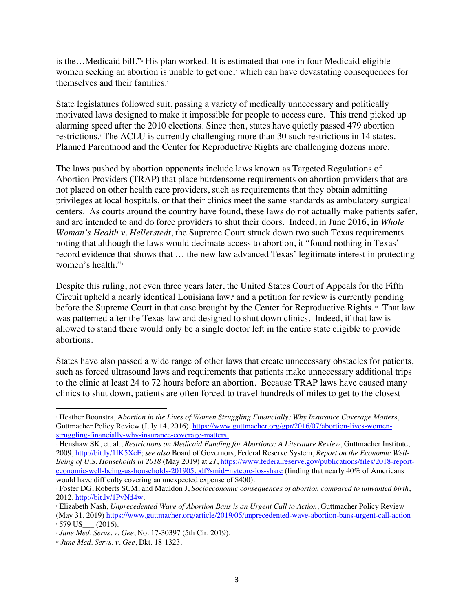is the…Medicaid bill."4 His plan worked. It is estimated that one in four Medicaid-eligible women seeking an abortion is unable to get one, which can have devastating consequences for themselves and their families.6

State legislatures followed suit, passing a variety of medically unnecessary and politically motivated laws designed to make it impossible for people to access care. This trend picked up alarming speed after the 2010 elections. Since then, states have quietly passed 479 abortion restrictions. <sup>7</sup> The ACLU is currently challenging more than 30 such restrictions in 14 states. Planned Parenthood and the Center for Reproductive Rights are challenging dozens more.

The laws pushed by abortion opponents include laws known as Targeted Regulations of Abortion Providers (TRAP) that place burdensome requirements on abortion providers that are not placed on other health care providers, such as requirements that they obtain admitting privileges at local hospitals, or that their clinics meet the same standards as ambulatory surgical centers. As courts around the country have found, these laws do not actually make patients safer, and are intended to and do force providers to shut their doors. Indeed, in June 2016, in *Whole Woman's Health v. Hellerstedt*, the Supreme Court struck down two such Texas requirements noting that although the laws would decimate access to abortion, it "found nothing in Texas' record evidence that shows that … the new law advanced Texas' legitimate interest in protecting women's health."<sup>8</sup>

Despite this ruling, not even three years later, the United States Court of Appeals for the Fifth Circuit upheld a nearly identical Louisiana law, and a petition for review is currently pending before the Supreme Court in that case brought by the Center for Reproductive Rights.<sup>10</sup> That law was patterned after the Texas law and designed to shut down clinics. Indeed, if that law is allowed to stand there would only be a single doctor left in the entire state eligible to provide abortions.

States have also passed a wide range of other laws that create unnecessary obstacles for patients, such as forced ultrasound laws and requirements that patients make unnecessary additional trips to the clinic at least 24 to 72 hours before an abortion. Because TRAP laws have caused many clinics to shut down, patients are often forced to travel hundreds of miles to get to the closest

 $\overline{a}$ 

<sup>4</sup> Heather Boonstra, A*bortion in the Lives of Women Struggling Financially: Why Insurance Coverage Matter*s, Guttmacher Policy Review (July 14, 2016), https://www.guttmacher.org/gpr/2016/07/abortion-lives-womenstruggling-financially-why-insurance-coverage-matters.

<sup>5</sup> Henshaw SK, et. al., *Restrictions on Medicaid Funding for Abortions: A Literature Review*, Guttmacher Institute, 2009, http://bit.ly/1IK5XcF; *see also* Board of Governors, Federal Reserve System, *Report on the Economic Well-Being of U.S. Households in 2018* (May 2019) at *21*, https://www.federalreserve.gov/publications/files/2018-reporteconomic-well-being-us-households-201905.pdf?smid=nytcore-ios-share (finding that nearly 40% of Americans would have difficulty covering an unexpected expense of \$400).

<sup>6</sup> Foster DG, Roberts SCM, and Mauldon J, *Socioeconomic consequences of abortion compared to unwanted birth*, 2012, http://bit.ly/1PvNd4w.

<sup>7</sup> Elizabeth Nash, *Unprecedented Wave of Abortion Bans is an Urgent Call to Action*, Guttmacher Policy Review (May 31, 2019) https://www.guttmacher.org/article/2019/05/unprecedented-wave-abortion-bans-urgent-call-action  $\cdot$  579 US (2016).

<sup>9</sup> *June Med. Servs. v. Gee*, No. 17-30397 (5th Cir. 2019).

<sup>10</sup> *June Med. Servs. v. Gee*, Dkt. 18-1323.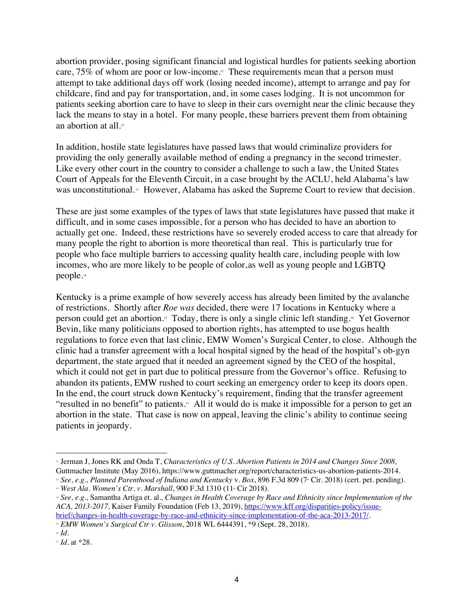abortion provider, posing significant financial and logistical hurdles for patients seeking abortion care, 75% of whom are poor or low-income.<sup>11</sup> These requirements mean that a person must attempt to take additional days off work (losing needed income), attempt to arrange and pay for childcare, find and pay for transportation, and, in some cases lodging. It is not uncommon for patients seeking abortion care to have to sleep in their cars overnight near the clinic because they lack the means to stay in a hotel. For many people, these barriers prevent them from obtaining an abortion at all.<sup>12</sup>

In addition, hostile state legislatures have passed laws that would criminalize providers for providing the only generally available method of ending a pregnancy in the second trimester. Like every other court in the country to consider a challenge to such a law, the United States Court of Appeals for the Eleventh Circuit, in a case brought by the ACLU, held Alabama's law was unconstitutional.<sup>13</sup> However, Alabama has asked the Supreme Court to review that decision.

These are just some examples of the types of laws that state legislatures have passed that make it difficult, and in some cases impossible, for a person who has decided to have an abortion to actually get one. Indeed, these restrictions have so severely eroded access to care that already for many people the right to abortion is more theoretical than real. This is particularly true for people who face multiple barriers to accessing quality health care, including people with low incomes, who are more likely to be people of color,as well as young people and LGBTQ people. 14

Kentucky is a prime example of how severely access has already been limited by the avalanche of restrictions. Shortly after *Roe was* decided, there were 17 locations in Kentucky where a person could get an abortion.15 Today, there is only a single clinic left standing. <sup>16</sup> Yet Governor Bevin, like many politicians opposed to abortion rights, has attempted to use bogus health regulations to force even that last clinic, EMW Women's Surgical Center, to close. Although the clinic had a transfer agreement with a local hospital signed by the head of the hospital's ob-gyn department, the state argued that it needed an agreement signed by the CEO of the hospital, which it could not get in part due to political pressure from the Governor's office. Refusing to abandon its patients, EMW rushed to court seeking an emergency order to keep its doors open. In the end, the court struck down Kentucky's requirement, finding that the transfer agreement "resulted in no benefit" to patients.<sup>17</sup> All it would do is make it impossible for a person to get an abortion in the state. That case is now on appeal, leaving the clinic's ability to continue seeing patients in jeopardy.

 $\overline{a}$ <sup>11</sup> Jerman J, Jones RK and Onda T, *Characteristics of U.S. Abortion Patients in 2014 and Changes Since 2008,* Guttmacher Institute (May 2016), https://www.guttmacher.org/report/characteristics-us-abortion-patients-2014.

<sup>&</sup>lt;sup>12</sup> *See, e.g., Planned Parenthood of Indiana and Kentucky v. Box, 896 F.3d 809 (7<sup><i>k*</sup> Cir. 2018) (cert. pet. pending). <sup>13</sup> *West Ala. Women's Ctr. v. Marshall*, 900 F.3d 1310 (11<sup>a</sup> Cir 2018).

<sup>14</sup> *See, e.g.,* Samantha Artiga et. al*., Changes in Health Coverage by Race and Ethnicity since Implementation of the ACA, 2013-2017, Kaiser Family Foundation (Feb 13, 2019), https://www.kff.org/disparities-policy/issue*brief/changes-in-health-coverage-by-race-and-ethnicity-since-implementation-of-the-aca-2013-2017/. 15 *EMW Women's Surgical Ctr v. Glisson*, 2018 WL 6444391, \*9 (Sept. 28, 2018).

<sup>16</sup> *Id*.

<sup>17</sup> *Id.* at \*28.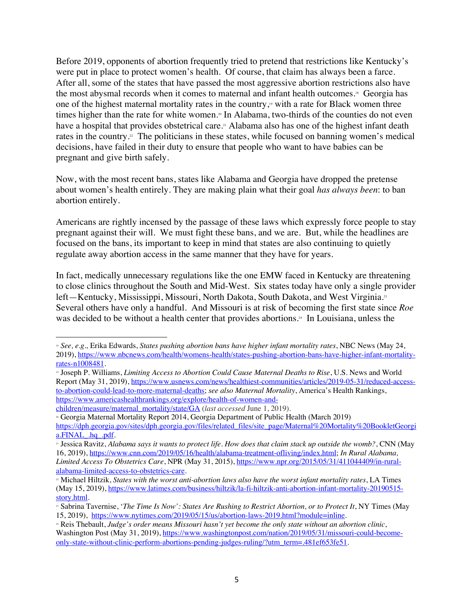Before 2019, opponents of abortion frequently tried to pretend that restrictions like Kentucky's were put in place to protect women's health. Of course, that claim has always been a farce. After all, some of the states that have passed the most aggressive abortion restrictions also have the most abysmal records when it comes to maternal and infant health outcomes.18 Georgia has one of the highest maternal mortality rates in the country,<sup>19</sup> with a rate for Black women three times higher than the rate for white women.<sup>30</sup> In Alabama, two-thirds of the counties do not even have a hospital that provides obstetrical care.<sup>31</sup> Alabama also has one of the highest infant death rates in the country.<sup>22</sup> The politicians in these states, while focused on banning women's medical decisions, have failed in their duty to ensure that people who want to have babies can be pregnant and give birth safely.

Now, with the most recent bans, states like Alabama and Georgia have dropped the pretense about women's health entirely. They are making plain what their goal *has always been*: to ban abortion entirely.

Americans are rightly incensed by the passage of these laws which expressly force people to stay pregnant against their will. We must fight these bans, and we are. But, while the headlines are focused on the bans, its important to keep in mind that states are also continuing to quietly regulate away abortion access in the same manner that they have for years.

In fact, medically unnecessary regulations like the one EMW faced in Kentucky are threatening to close clinics throughout the South and Mid-West. Six states today have only a single provider left—Kentucky, Mississippi, Missouri, North Dakota, South Dakota, and West Virginia.<sup>23</sup> Several others have only a handful. And Missouri is at risk of becoming the first state since *Roe*  was decided to be without a health center that provides abortions.<sup>24</sup> In Louisiana, unless the

Report (May 31, 2019), https://www.usnews.com/news/healthiest-communities/articles/2019-05-31/reduced-accessto-abortion-could-lead-to-more-maternal-deaths; *see also Maternal Mortality*, America's Health Rankings, https://www.americashealthrankings.org/explore/health-of-women-and-

children/measure/maternal\_mortality/state/GA (*last accessed* June 1, 2019).

 $\overline{a}$ 

<sup>20</sup> Georgia Maternal Mortality Report 2014, Georgia Department of Public Health (March 2019)

<sup>18</sup> *See, e.g.,* Erika Edwards, *States pushing abortion bans have higher infant mortality rates*, NBC News (May 24, 2019), https://www.nbcnews.com/health/womens-health/states-pushing-abortion-bans-have-higher-infant-mortalityrates-n1008481.<br> **19 Joseph P. Williams**, *Limiting Access to Abortion Could Cause Maternal Deaths to Rise*, U.S. News and World

https://dph.georgia.gov/sites/dph.georgia.gov/files/related\_files/site\_page/Maternal%20Mortality%20BookletGeorgi a.FINAL\_.hq\_.pdf.

<sup>21</sup> Jessica Ravitz, *Alabama says it wants to protect life. How does that claim stack up outside the womb?*, CNN (May 16, 2019), https://www.cnn.com/2019/05/16/health/alabama-treatment-ofliving/index.html; *In Rural Alabama, Limited Access To Obstetrics Care*, NPR (May 31, 2015), https://www.npr.org/2015/05/31/411044409/in-ruralalabama-limited-access-to-obstetrics-care.<br><sup>22</sup> Michael Hiltzik, *States with the worst anti-abortion laws also have the worst infant mortality rates*, LA Times

<sup>(</sup>May 15, 2019), https://www.latimes.com/business/hiltzik/la-fi-hiltzik-anti-abortion-infant-mortality-20190515 story.html.

<sup>&</sup>lt;sup>23</sup> Sabrina Tavernise, '*The Time Is Now': States Are Rushing to Restrict Abortion, or to Protect It*, NY Times (May 15, 2019), https://www.nytimes.com/2019/05/15/us/abortion-laws-2019.html?module=inline.

<sup>&</sup>lt;sup>24</sup> Reis Thebault, *Judge's order means Missouri hasn't vet become the only state without an abortion clinic,* 

Washington Post (May 31, 2019), https://www.washingtonpost.com/nation/2019/05/31/missouri-could-becomeonly-state-without-clinic-perform-abortions-pending-judges-ruling/?utm\_term=.481ef653fe51.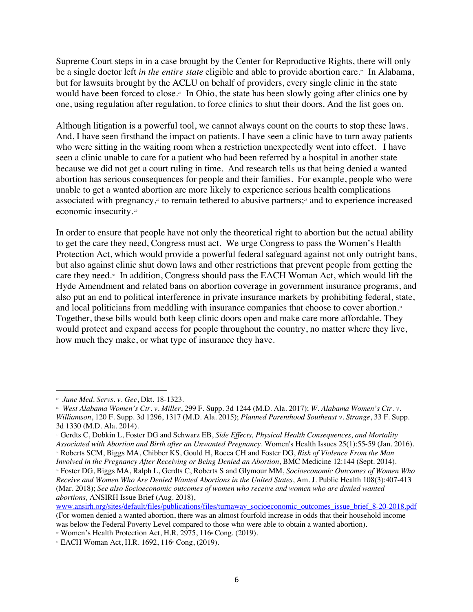Supreme Court steps in in a case brought by the Center for Reproductive Rights, there will only be a single doctor left *in the entire state* eligible and able to provide abortion care.<sup>25</sup> In Alabama, but for lawsuits brought by the ACLU on behalf of providers, every single clinic in the state would have been forced to close.<sup>36</sup> In Ohio, the state has been slowly going after clinics one by one, using regulation after regulation, to force clinics to shut their doors. And the list goes on.

Although litigation is a powerful tool, we cannot always count on the courts to stop these laws. And, I have seen firsthand the impact on patients. I have seen a clinic have to turn away patients who were sitting in the waiting room when a restriction unexpectedly went into effect. I have seen a clinic unable to care for a patient who had been referred by a hospital in another state because we did not get a court ruling in time. And research tells us that being denied a wanted abortion has serious consequences for people and their families. For example, people who were unable to get a wanted abortion are more likely to experience serious health complications associated with pregnancy,<sup>27</sup> to remain tethered to abusive partners;<sup>28</sup> and to experience increased economic insecurity.<sup>29</sup>

In order to ensure that people have not only the theoretical right to abortion but the actual ability to get the care they need, Congress must act. We urge Congress to pass the Women's Health Protection Act, which would provide a powerful federal safeguard against not only outright bans, but also against clinic shut down laws and other restrictions that prevent people from getting the care they need. 30 In addition, Congress should pass the EACH Woman Act, which would lift the Hyde Amendment and related bans on abortion coverage in government insurance programs, and also put an end to political interference in private insurance markets by prohibiting federal, state, and local politicians from meddling with insurance companies that choose to cover abortion.<sup>31</sup> Together, these bills would both keep clinic doors open and make care more affordable. They would protect and expand access for people throughout the country, no matter where they live, how much they make, or what type of insurance they have.

 $\overline{a}$ 

*<sup>25</sup> June Med. Servs. v. Gee*, Dkt. 18-1323.

<sup>26</sup> *West Alabama Women's Ctr. v. Miller*, 299 F. Supp. 3d 1244 (M.D. Ala. 2017); *W. Alabama Women's Ctr. v. Williamson*, 120 F. Supp. 3d 1296, 1317 (M.D. Ala. 2015); *Planned Parenthood Southeast v. Strange*, 33 F. Supp. 3d 1330 (M.D. Ala. 2014).

<sup>27</sup> Gerdts C, Dobkin L, Foster DG and Schwarz EB, *Side Effects, Physical Health Consequences, and Mortality Associated with Abortion and Birth after an Unwanted Pregnancy*. Women's Health Issues 25(1):55-59 (Jan. 2016).

<sup>28</sup> Roberts SCM, Biggs MA, Chibber KS, Gould H, Rocca CH and Foster DG, *Risk of Violence From the Man* 

*Involved in the Pregnancy After Receiving or Being Denied an Abortion*, BMC Medicine 12:144 (Sept. 2014). <sup>29</sup> Foster DG, Biggs MA, Ralph L, Gerdts C, Roberts S and Glymour MM, *Socioeconomic Outcomes of Women Who Receive and Women Who Are Denied Wanted Abortions in the United States*, Am. J. Public Health 108(3):407-413 (Mar. 2018); *See also Socioeconomic outcomes of women who receive and women who are denied wanted abortions,* ANSIRH Issue Brief (Aug. 2018),

www.ansirh.org/sites/default/files/publications/files/turnaway\_socioeconomic\_outcomes\_issue\_brief\_8-20-2018.pdf (For women denied a wanted abortion, there was an almost fourfold increase in odds that their household income was below the Federal Poverty Level compared to those who were able to obtain a wanted abortion).

<sup>&</sup>lt;sup>30</sup> Women's Health Protection Act, H.R. 2975, 116<sup>th</sup> Cong. (2019).

<sup>&</sup>lt;sup>31</sup> EACH Woman Act, H.R. 1692, 116<sup>th</sup> Cong, (2019).